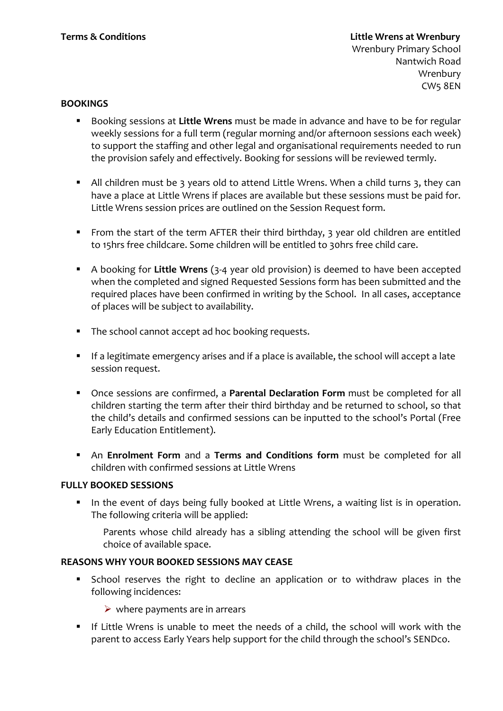Wrenbury Primary School Nantwich Road Wrenbury CW5 8EN

#### **BOOKINGS**

- Booking sessions at **Little Wrens** must be made in advance and have to be for regular weekly sessions for a full term (regular morning and/or afternoon sessions each week) to support the staffing and other legal and organisational requirements needed to run the provision safely and effectively. Booking for sessions will be reviewed termly.
- All children must be 3 years old to attend Little Wrens. When a child turns 3, they can have a place at Little Wrens if places are available but these sessions must be paid for. Little Wrens session prices are outlined on the Session Request form.
- From the start of the term AFTER their third birthday, 3 year old children are entitled to 15hrs free childcare. Some children will be entitled to 30hrs free child care.
- A booking for **Little Wrens** (3-4 year old provision) is deemed to have been accepted when the completed and signed Requested Sessions form has been submitted and the required places have been confirmed in writing by the School. In all cases, acceptance of places will be subject to availability.
- The school cannot accept ad hoc booking requests.
- If a legitimate emergency arises and if a place is available, the school will accept a late session request.
- Once sessions are confirmed, a **Parental Declaration Form** must be completed for all children starting the term after their third birthday and be returned to school, so that the child's details and confirmed sessions can be inputted to the school's Portal (Free Early Education Entitlement).
- An **Enrolment Form** and a **Terms and Conditions form** must be completed for all children with confirmed sessions at Little Wrens

### **FULLY BOOKED SESSIONS**

 In the event of days being fully booked at Little Wrens, a waiting list is in operation. The following criteria will be applied:

Parents whose child already has a sibling attending the school will be given first choice of available space.

### **REASONS WHY YOUR BOOKED SESSIONS MAY CEASE**

- School reserves the right to decline an application or to withdraw places in the following incidences:
	- $\triangleright$  where payments are in arrears
- If Little Wrens is unable to meet the needs of a child, the school will work with the parent to access Early Years help support for the child through the school's SENDco.